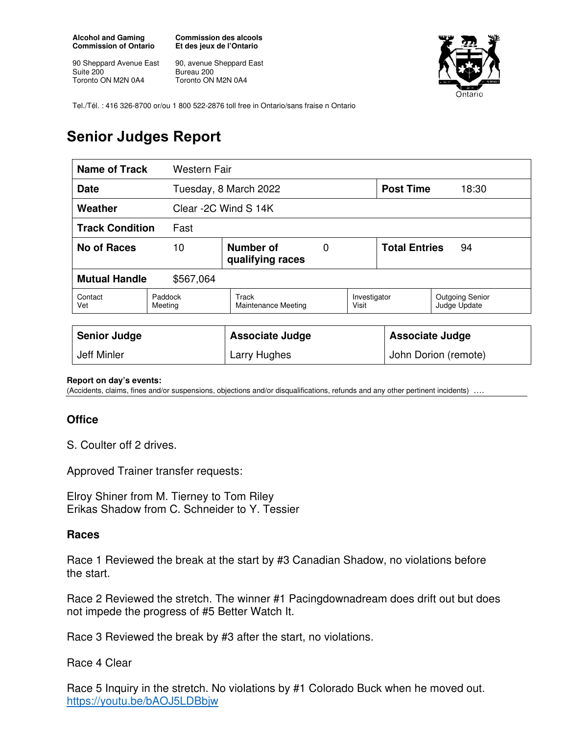**Alcohol and Gaming Commission of Ontario** 

90 Sheppard Avenue East Suite 200 Toronto ON M2N 0A4

**Commission des alcools Et des jeux de l'Ontario** 

90, avenue Sheppard East Bureau 200 Toronto ON M2N 0A4



Tel./Tél. : 416 326-8700 or/ou 1 800 522-2876 toll free in Ontario/sans fraise n Ontario

## **Senior Judges Report**

| <b>Name of Track</b><br><b>Western Fair</b> |                                                       |                                     |  |                            |       |                                        |
|---------------------------------------------|-------------------------------------------------------|-------------------------------------|--|----------------------------|-------|----------------------------------------|
| <b>Date</b>                                 |                                                       | Tuesday, 8 March 2022               |  | <b>Post Time</b>           | 18:30 |                                        |
| Weather                                     |                                                       | Clear -2C Wind S 14K                |  |                            |       |                                        |
| <b>Track Condition</b><br>Fast              |                                                       |                                     |  |                            |       |                                        |
| <b>No of Races</b>                          | Number of<br>10<br>$\overline{0}$<br>qualifying races |                                     |  | <b>Total Entries</b><br>94 |       |                                        |
| <b>Mutual Handle</b><br>\$567,064           |                                                       |                                     |  |                            |       |                                        |
| Contact<br>Vet                              | Paddock<br>Meeting                                    | Track<br><b>Maintenance Meeting</b> |  | Investigator<br>Visit      |       | <b>Outgoing Senior</b><br>Judge Update |
|                                             |                                                       |                                     |  |                            |       |                                        |
| <b>Senior Judge</b>                         |                                                       | <b>Associate Judge</b>              |  | <b>Associate Judge</b>     |       |                                        |
| Jeff Minler                                 |                                                       | Larry Hughes                        |  | John Dorion (remote)       |       |                                        |

**Report on day's events:** 

(Accidents, claims, fines and/or suspensions, objections and/or disqualifications, refunds and any other pertinent incidents) ….

## **Office**

S. Coulter off 2 drives.

Approved Trainer transfer requests:

Elroy Shiner from M. Tierney to Tom Riley Erikas Shadow from C. Schneider to Y. Tessier

## **Races**

Race 1 Reviewed the break at the start by #3 Canadian Shadow, no violations before the start.

Race 2 Reviewed the stretch. The winner #1 Pacingdownadream does drift out but does not impede the progress of #5 Better Watch It.

Race 3 Reviewed the break by #3 after the start, no violations.

Race 4 Clear

Race 5 Inquiry in the stretch. No violations by #1 Colorado Buck when he moved out. https://youtu.be/bAOJ5LDBbjw